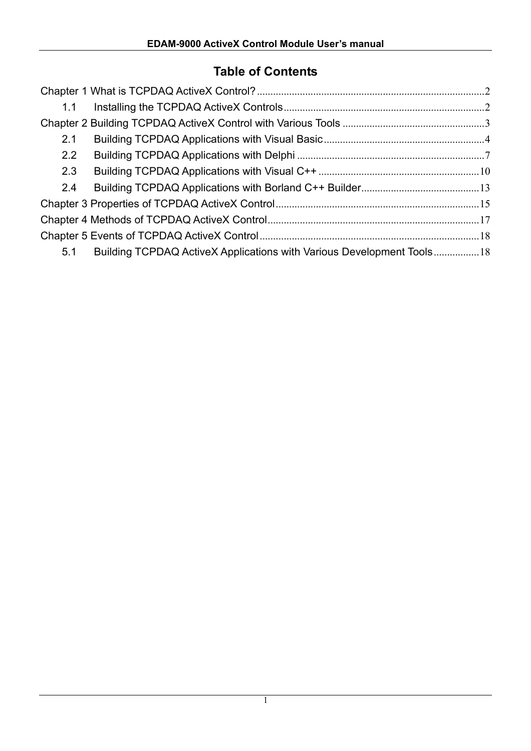# **Table of Contents**

| 1.1 |                                                                       |  |
|-----|-----------------------------------------------------------------------|--|
|     |                                                                       |  |
| 2.1 |                                                                       |  |
| 2.2 |                                                                       |  |
| 2.3 |                                                                       |  |
| 2.4 |                                                                       |  |
|     |                                                                       |  |
|     |                                                                       |  |
|     |                                                                       |  |
| 5.1 | Building TCPDAQ ActiveX Applications with Various Development Tools18 |  |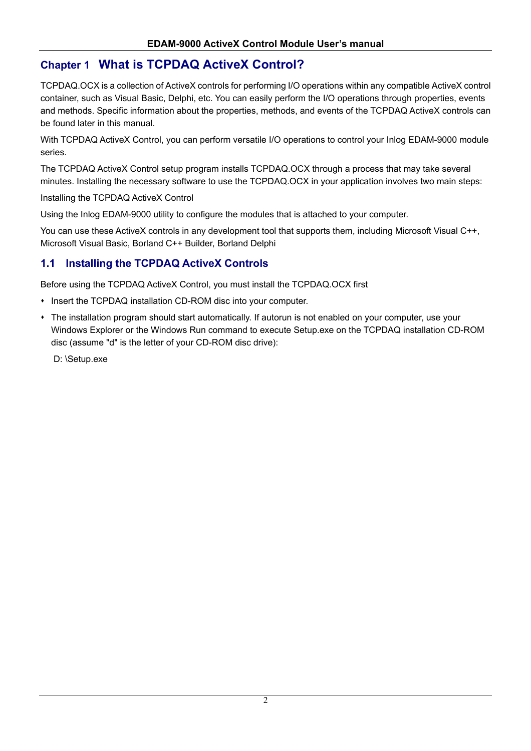## **Chapter 1 What is TCPDAQ ActiveX Control?**

TCPDAQ.OCX is a collection of ActiveX controls for performing I/O operations within any compatible ActiveX control container, such as Visual Basic, Delphi, etc. You can easily perform the I/O operations through properties, events and methods. Specific information about the properties, methods, and events of the TCPDAQ ActiveX controls can be found later in this manual.

With TCPDAQ ActiveX Control, you can perform versatile I/O operations to control your Inlog EDAM-9000 module series.

The TCPDAQ ActiveX Control setup program installs TCPDAQ.OCX through a process that may take several minutes. Installing the necessary software to use the TCPDAQ.OCX in your application involves two main steps:

Installing the TCPDAQ ActiveX Control

Using the Inlog EDAM-9000 utility to configure the modules that is attached to your computer.

You can use these ActiveX controls in any development tool that supports them, including Microsoft Visual C++, Microsoft Visual Basic, Borland C++ Builder, Borland Delphi

### **1.1 Installing the TCPDAQ ActiveX Controls**

Before using the TCPDAQ ActiveX Control, you must install the TCPDAQ.OCX first

- Insert the TCPDAQ installation CD-ROM disc into your computer.
- The installation program should start automatically. If autorun is not enabled on your computer, use your Windows Explorer or the Windows Run command to execute Setup.exe on the TCPDAQ installation CD-ROM disc (assume "d" is the letter of your CD-ROM disc drive):

D: \Setup.exe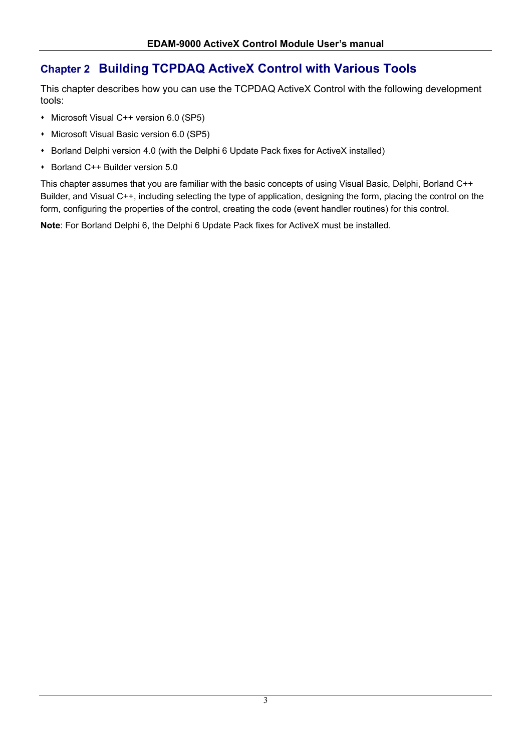# **Chapter 2 Building TCPDAQ ActiveX Control with Various Tools**

This chapter describes how you can use the TCPDAQ ActiveX Control with the following development tools:

- Microsoft Visual C++ version 6.0 (SP5)
- **Microsoft Visual Basic version 6.0 (SP5)**
- Borland Delphi version 4.0 (with the Delphi 6 Update Pack fixes for ActiveX installed)
- Borland C++ Builder version 5.0

This chapter assumes that you are familiar with the basic concepts of using Visual Basic, Delphi, Borland C++ Builder, and Visual C++, including selecting the type of application, designing the form, placing the control on the form, configuring the properties of the control, creating the code (event handler routines) for this control.

**Note**: For Borland Delphi 6, the Delphi 6 Update Pack fixes for ActiveX must be installed.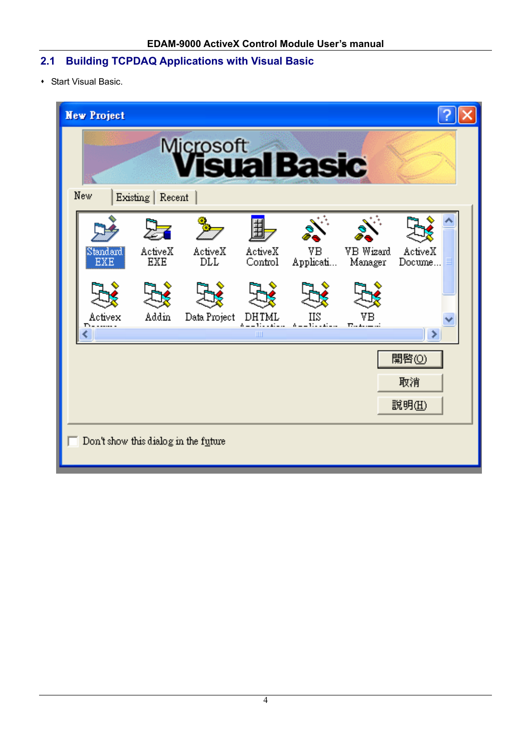# **2.1 Building TCPDAQ Applications with Visual Basic**

Start Visual Basic.

| <b>New Project</b>     |                   |                                                               |                    |                               |                                                            |                    |  |
|------------------------|-------------------|---------------------------------------------------------------|--------------------|-------------------------------|------------------------------------------------------------|--------------------|--|
| New.                   | Existing   Recent | <b>Microsoft</b><br><b>Visual Basic</b>                       |                    |                               |                                                            |                    |  |
| Standard<br><b>EXE</b> | ActiveX<br>EXE    | ActiveX<br>DLL                                                | ActiveX<br>Control | VВ<br>Applicati               | VB Wizard<br>Manager                                       | ActiveX<br>Docume  |  |
| Activex                | Addin             | Data Project                                                  | DHTML<br>Ш         | НS<br>$\Lambda = -1111111111$ | $\Gamma_{\cdot}$ , $\Lambda_{\cdot}$ , $\ldots$ , $\ldots$ | ۶                  |  |
|                        |                   |                                                               |                    |                               |                                                            | 開啓(0)<br>取消<br>說明田 |  |
|                        |                   | $\overline{\phantom{a}}$ Don't show this dialog in the future |                    |                               |                                                            |                    |  |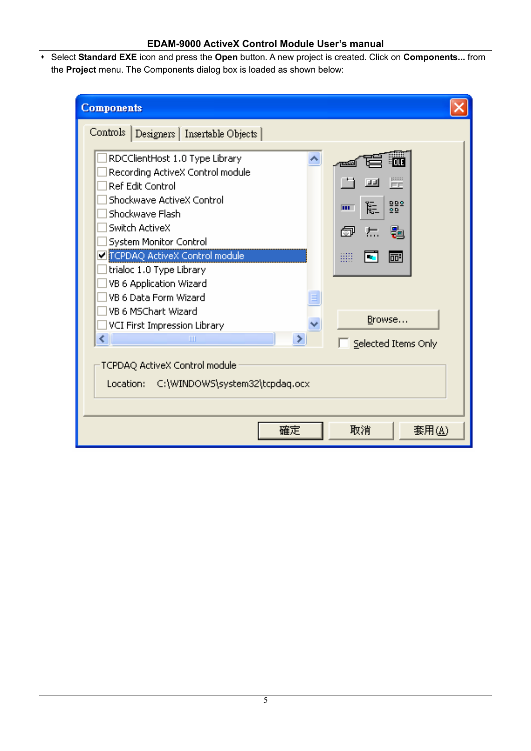Select **Standard EXE** icon and press the **Open** button. A new project is created. Click on **Components...** from the **Project** menu. The Components dialog box is loaded as shown below:

| <b>Components</b>                                                                                                                                                                                                                                                                                   |                                                  |
|-----------------------------------------------------------------------------------------------------------------------------------------------------------------------------------------------------------------------------------------------------------------------------------------------------|--------------------------------------------------|
| Controls   Designers   Insertable Objects                                                                                                                                                                                                                                                           |                                                  |
| RDCClientHost 1.0 Type Library<br>Recording ActiveX Control module<br>Ref Edit Control<br>Shockwave ActiveX Control<br>Shockwave Flash<br>Switch ActiveX<br>System Monitor Control<br>TCPDAQ ActiveX Control module<br>trialoc 1.0 Type Library<br>VB 6 Application Wizard<br>VB 6 Data Form Wizard | FF<br>山山<br>982<br>⊫<br>m.<br>圚<br>Н.<br>m<br>丽: |
| VB 6 MSChart Wizard<br>VCI First Impression Library                                                                                                                                                                                                                                                 | Browse                                           |
| ←<br>ШI<br>⋗                                                                                                                                                                                                                                                                                        | Selected Items Only                              |
| TCPDAQ ActiveX Control module<br>Location: C:\WINDOWS\system32\tcpdaq.ocx                                                                                                                                                                                                                           |                                                  |
| 確定                                                                                                                                                                                                                                                                                                  | 套用(A)<br>取消                                      |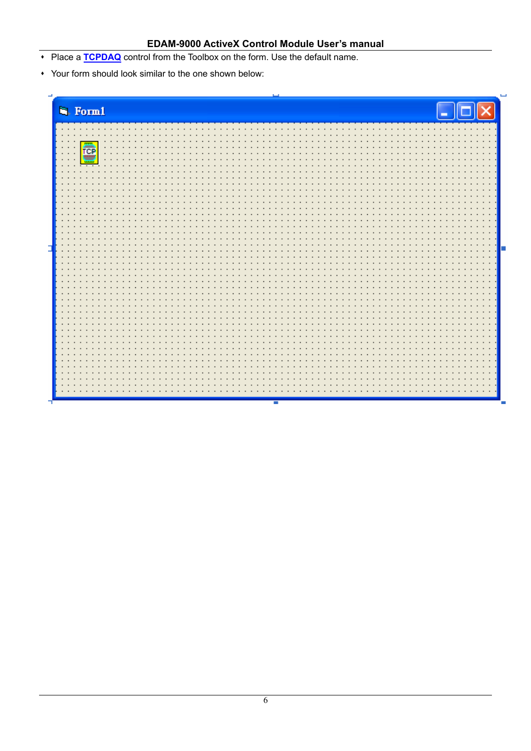- Place a **TCPDAQ** control from the Toolbox on the form. Use the default name.
- Your form should look similar to the one shown below:

|   | <sup>1</sup> Form1                                                                              |   |
|---|-------------------------------------------------------------------------------------------------|---|
|   | .<br>$\overline{\phantom{a}}$<br>$\cdot$ $\cdot$                                                |   |
|   | ē<br>.<br>$\cdot$ $\cdot$                                                                       |   |
|   | $\cdot$ $\cdot$<br>$\cdot$ $\cdot$<br>$\cdot$ $\cdot$<br>$\sim$ $\sim$                          |   |
|   | $\cdot$ $\cdot$ $\cdot$<br>$\cdot$<br>$\cdot$ $\cdot$<br>$\sim$<br>$\cdot$ $\cdot$<br>$\bullet$ |   |
|   | $\bullet$                                                                                       |   |
|   | $\cdot$ $\cdot$<br>$\bullet$                                                                    |   |
|   | $\cdot$ $\cdot$<br>$\bullet$                                                                    |   |
| E | $\bullet$                                                                                       | П |
|   | $\cdot$ $\cdot$                                                                                 |   |
|   |                                                                                                 |   |
|   |                                                                                                 |   |
|   |                                                                                                 |   |
|   |                                                                                                 |   |
|   |                                                                                                 |   |
|   |                                                                                                 |   |
|   |                                                                                                 |   |
|   | $\cdot$ $\cdot$                                                                                 |   |

Ξ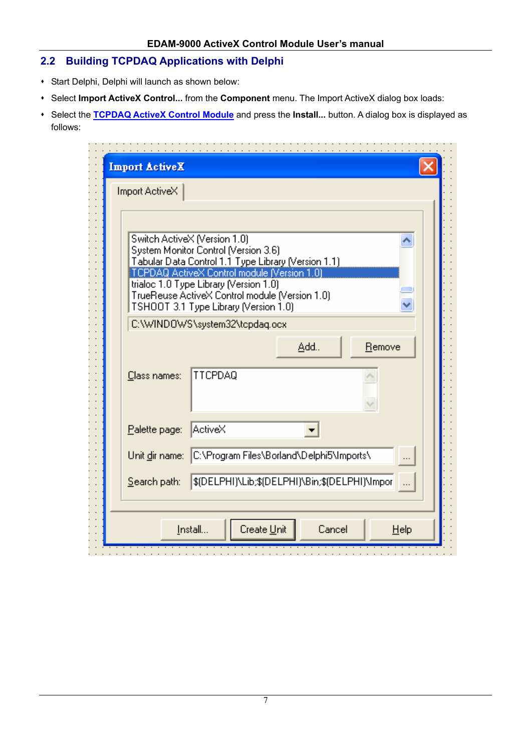### **2.2 Building TCPDAQ Applications with Delphi**

- Start Delphi, Delphi will launch as shown below:
- Select **Import ActiveX Control...** from the **Component** menu. The Import ActiveX dialog box loads:
- Select the **TCPDAQ ActiveX Control Module** and press the **Install...** button. A dialog box is displayed as follows:

| Import ActiveX |                                                                                                                                                                            |
|----------------|----------------------------------------------------------------------------------------------------------------------------------------------------------------------------|
|                | Switch ActiveX (Version 1.0)<br>System Monitor Control (Version 3.6)<br>Tabular Data Control 1.1 Type Library (Version 1.1)<br>TCPDAQ ActiveX Control module (Version 1.0) |
|                | trialoc 1.0 Type Library (Version 1.0)<br>TrueReuse ActiveX Control module (Version 1.0)<br>TSHOOT 3.1 Type Library (Version 1.0)                                          |
|                | C:\WINDOWS\system32\tcpdag.ocx                                                                                                                                             |
|                | Add<br>Remove                                                                                                                                                              |
| Class names:   | <b>TTCPDAQ</b>                                                                                                                                                             |
| Palette page:  | ActiveX                                                                                                                                                                    |
| Unit dir name: | C:\Program Files\Borland\Delphi5\Imports\                                                                                                                                  |
| Search path:   | \$(DELPHI)\Lib;\$(DELPHI)\Bin;\$(DELPHI)\Impor                                                                                                                             |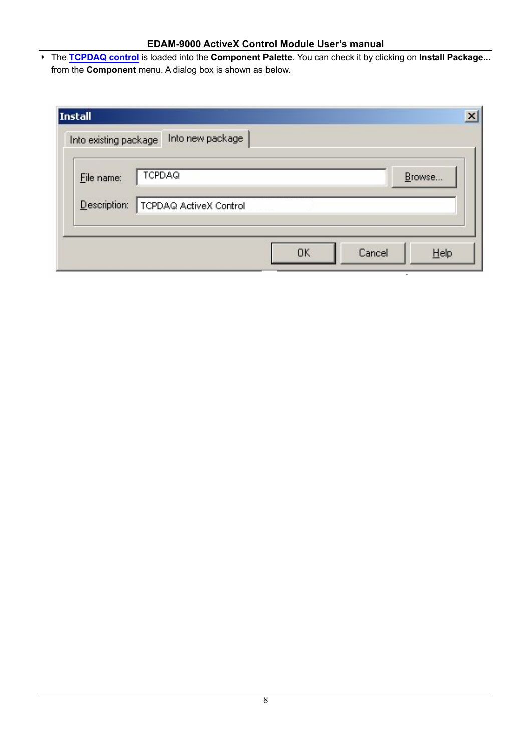The **TCPDAQ control** is loaded into the **Component Palette**. You can check it by clicking on **Install Package...** from the **Component** menu. A dialog box is shown as below.

| <b>TCPDAQ</b><br>File name:            |  |        |
|----------------------------------------|--|--------|
|                                        |  | Browse |
| Description:<br>TCPDAQ ActiveX Control |  |        |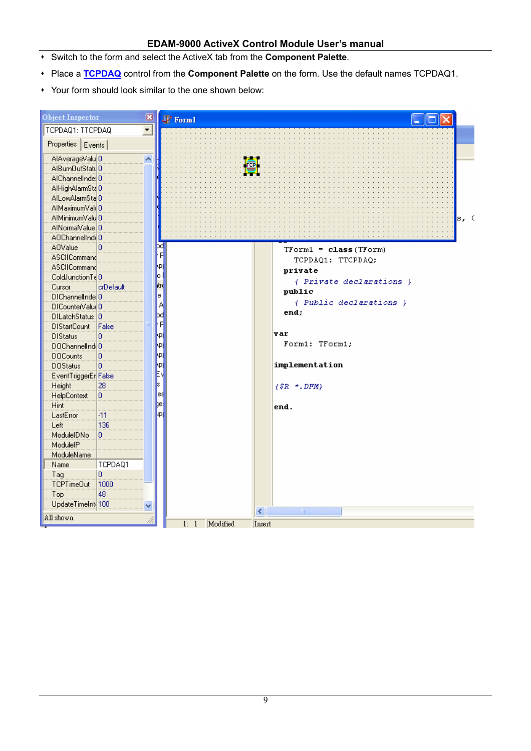- Switch to the form and select the ActiveX tab from the **Component Palette**.
- Place a **TCPDAQ** control from the **Component Palette** on the form. Use the default names TCPDAQ1.
- Your form should look similar to the one shown below:

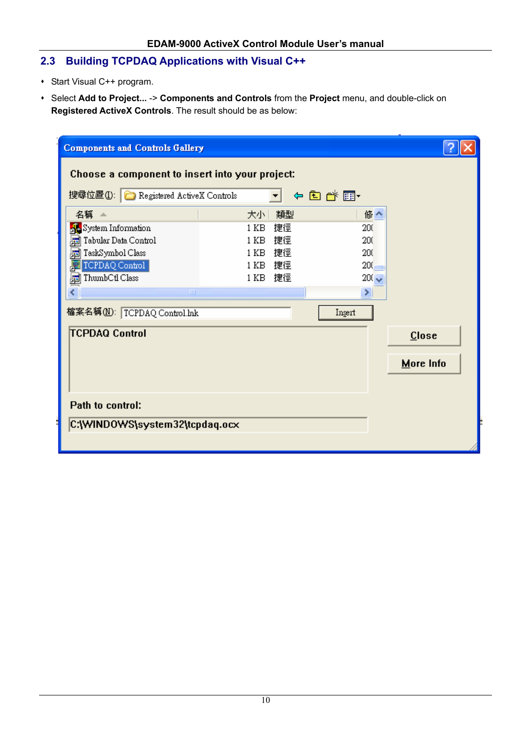### **2.3 Building TCPDAQ Applications with Visual C++**

- Start Visual C++ program.
- Select **Add to Project...** -> **Components and Controls** from the **Project** menu, and double-click on **Registered ActiveX Controls**. The result should be as below:

| Choose a component to insert into your project:<br>搜尋位置(I): C Registered ActiveX Controls<br>類型<br>大小十<br>捷徑<br>1 KB<br>捷徑<br>1 <sub>KB</sub><br>捷徑<br>1 KB<br>捷徑<br>1 KB<br>捷徑<br>1 KB | ←自び雨・<br>修个<br>200<br>200<br>200<br>$200 -$<br>$200 \times$<br>×. |           |
|-----------------------------------------------------------------------------------------------------------------------------------------------------------------------------------------|-------------------------------------------------------------------|-----------|
|                                                                                                                                                                                         |                                                                   |           |
|                                                                                                                                                                                         |                                                                   |           |
|                                                                                                                                                                                         |                                                                   |           |
|                                                                                                                                                                                         |                                                                   |           |
|                                                                                                                                                                                         |                                                                   |           |
|                                                                                                                                                                                         |                                                                   |           |
|                                                                                                                                                                                         |                                                                   |           |
|                                                                                                                                                                                         |                                                                   |           |
|                                                                                                                                                                                         | Insert                                                            |           |
|                                                                                                                                                                                         |                                                                   | $C$ lose  |
|                                                                                                                                                                                         |                                                                   | More Info |
|                                                                                                                                                                                         |                                                                   |           |
|                                                                                                                                                                                         |                                                                   |           |
|                                                                                                                                                                                         |                                                                   |           |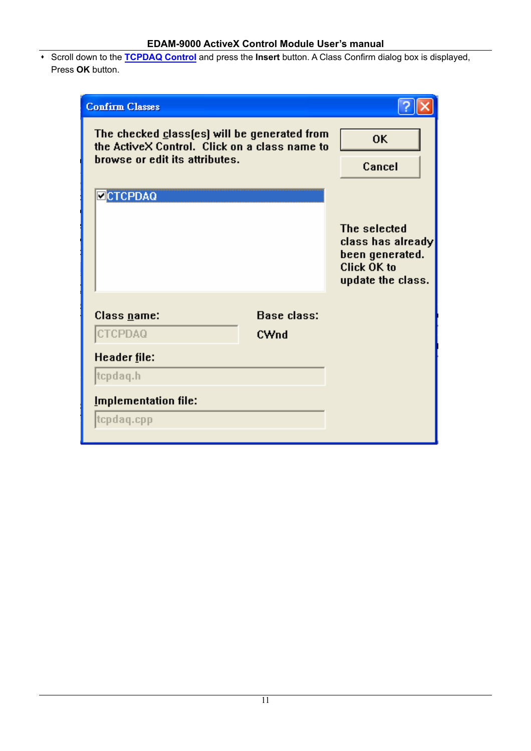Scroll down to the **TCPDAQ Control** and press the **Insert** button. A Class Confirm dialog box is displayed, Press **OK** button.

| <b>Confirm Classes</b>                                                                                                          |                            |                                                                                          |
|---------------------------------------------------------------------------------------------------------------------------------|----------------------------|------------------------------------------------------------------------------------------|
| The checked class(es) will be generated from<br>the ActiveX Control. Click on a class name to<br>browse or edit its attributes. |                            | <b>OK</b><br>Cancel                                                                      |
| <b>ECTCPDAQ</b>                                                                                                                 |                            | The selected<br>class has already<br>been generated.<br>Click OK to<br>update the class. |
| Class <u>n</u> ame:<br>CTCPDAQ                                                                                                  | <b>Base class:</b><br>CWnd |                                                                                          |
| Header file:<br>tcpdaq.h<br><b>Implementation file:</b><br>tcpdaq.cpp                                                           |                            |                                                                                          |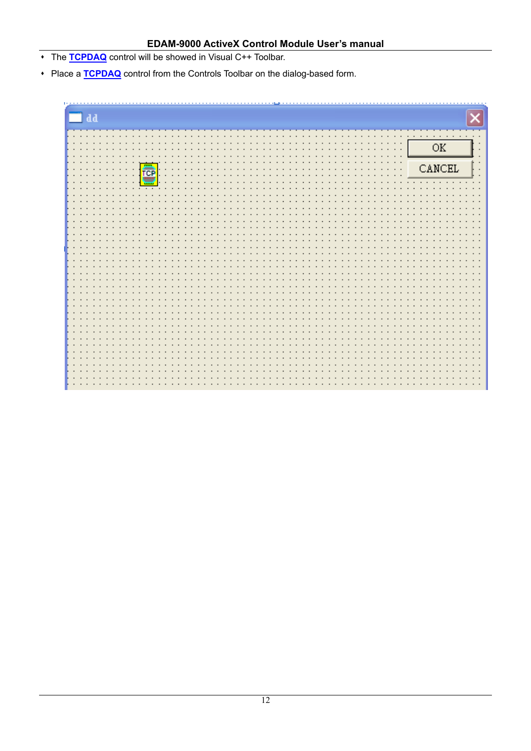- The **TCPDAQ** control will be showed in Visual C++ Toolbar.
- Place a **TCPDAQ** control from the Controls Toolbar on the dialog-based form.

| $\blacksquare$ dd                                  |                                        |
|----------------------------------------------------|----------------------------------------|
|                                                    |                                        |
|                                                    | <b><i><u>A</u></i> A A A A A A A A</b> |
| $\cdot$<br>$\cdot$ $\cdot$                         |                                        |
| $\cdot$ $\cdot$                                    | $\overline{\text{OK}}$                 |
|                                                    |                                        |
| $\cdot$ $\cdot$<br>$\cdot$ $\cdot$                 | CANCEL                                 |
| <b>e</b><br>$\cdot$ $\cdot$<br>$\blacksquare$<br>٠ |                                        |
| $\mathcal{L}_{\mathcal{A}}$                        |                                        |
| ॼ                                                  |                                        |
|                                                    |                                        |
|                                                    |                                        |
| $\bullet$                                          |                                        |
| $\bullet$                                          | ٠                                      |
|                                                    |                                        |
|                                                    |                                        |
| $\sim$                                             | $\bullet$                              |
| $\bullet$                                          | $\ddot{}$                              |
| $\bullet$                                          |                                        |
| $\cdot$ $\cdot$                                    |                                        |
|                                                    |                                        |
|                                                    |                                        |
|                                                    |                                        |
| $\bullet$                                          | ٠                                      |
|                                                    |                                        |
|                                                    | ٠                                      |
| $\sim$                                             | $\bullet$                              |
| $\bullet$                                          | $\ddot{\phantom{1}}$                   |
|                                                    |                                        |
|                                                    |                                        |
| $\bullet$                                          |                                        |
|                                                    |                                        |
|                                                    |                                        |
| $\ddot{\phantom{1}}$                               | $\bullet$                              |
|                                                    |                                        |
|                                                    |                                        |
| $\cdot$                                            | ٠                                      |
|                                                    |                                        |
|                                                    |                                        |
|                                                    |                                        |
|                                                    |                                        |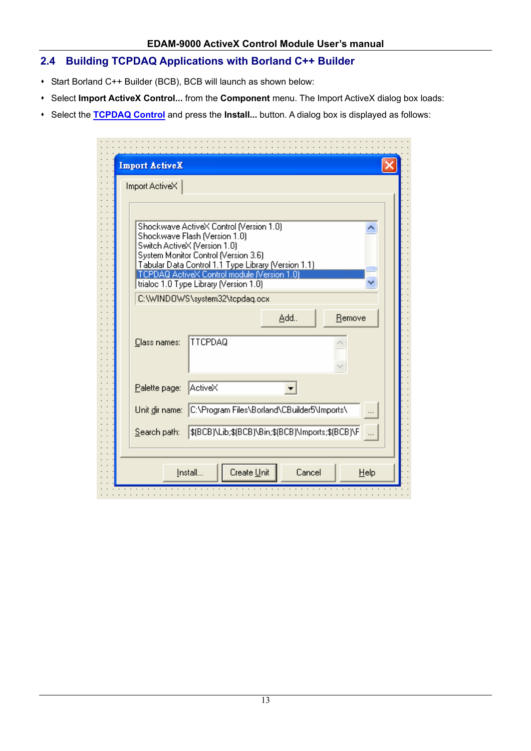### **2.4 Building TCPDAQ Applications with Borland C++ Builder**

- Start Borland C++ Builder (BCB), BCB will launch as shown below:
- Select **Import ActiveX Control...** from the **Component** menu. The Import ActiveX dialog box loads:
- Select the **TCPDAQ Control** and press the **Install...** button. A dialog box is displayed as follows:

| <b>Import ActiveX</b>                                                                 |                                                   |  |  |  |  |
|---------------------------------------------------------------------------------------|---------------------------------------------------|--|--|--|--|
| Import ActiveX                                                                        |                                                   |  |  |  |  |
|                                                                                       |                                                   |  |  |  |  |
|                                                                                       | Shockwave ActiveX Control (Version 1.0)           |  |  |  |  |
|                                                                                       | Shockwave Flash (Version 1.0)                     |  |  |  |  |
| Switch ActiveX (Version 1.0)<br>System Monitor Control (Version 3.6)                  |                                                   |  |  |  |  |
| Tabular Data Control 1.1 Type Library (Version 1.1)                                   |                                                   |  |  |  |  |
| TCPDAQ ActiveX Control module (Version 1.0)<br>trialoc 1.0 Type Library (Version 1.0) |                                                   |  |  |  |  |
|                                                                                       | C:\WINDOWS\system32\tcpdaq.ocx                    |  |  |  |  |
|                                                                                       |                                                   |  |  |  |  |
|                                                                                       | Add<br>Remove                                     |  |  |  |  |
| Class names:                                                                          | <b>TTCPDAQ</b>                                    |  |  |  |  |
|                                                                                       |                                                   |  |  |  |  |
|                                                                                       |                                                   |  |  |  |  |
| Palette page:                                                                         | ActiveX                                           |  |  |  |  |
|                                                                                       |                                                   |  |  |  |  |
| Unit dir name:                                                                        | C:\Program Files\Borland\CBuilder5\Imports\       |  |  |  |  |
|                                                                                       |                                                   |  |  |  |  |
| Search path:                                                                          | \$(BCB)\Lib;\$(BCB)\Bin;\$(BCB)\Imports;\$(BCB)\F |  |  |  |  |
|                                                                                       |                                                   |  |  |  |  |
|                                                                                       | Install<br>Create Unit<br>Cancel<br>Help          |  |  |  |  |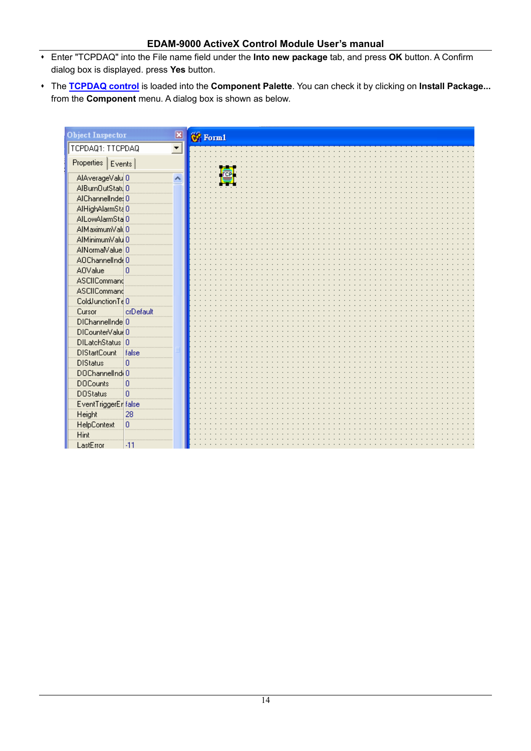- Enter "TCPDAQ" into the File name field under the **Into new package** tab, and press **OK** button. A Confirm dialog box is displayed. press **Yes** button.
- The **TCPDAQ control** is loaded into the **Component Palette**. You can check it by clicking on **Install Package...** from the **Component** menu. A dialog box is shown as below.

| <b>Object Inspector</b><br>× | <b>68</b> Form1 |
|------------------------------|-----------------|
| TCPDAQ1: TTCPDAQ<br>▼        |                 |
| Properties   Events          |                 |
| AlAverageValu 0<br>۸         |                 |
| AlBumOutStatu 0              |                 |
| AIChannelInde: 0             |                 |
| AlHighAlarmSta 0             |                 |
| AlLowAlarmSta 0              |                 |
| AIMaximumValu0               |                 |
| AlMinimumValu 0              |                 |
| AlNormalValue 0              |                 |
| AOChannelInde0               |                 |
| <b>AOValue</b><br>O          |                 |
| ASCIICommand                 |                 |
| ASCIICommand                 |                 |
| ColdJunctionTe <sup>0</sup>  |                 |
| crDefault<br>Cursor          |                 |
| DIChannelInde 0              |                 |
| DICounterValue 0             |                 |
| DILatchStatus 0              |                 |
| <b>DIStartCount</b><br>false |                 |
| <b>DIStatus</b><br>0         |                 |
| DOChannelInd 0               |                 |
| <b>DOCounts</b><br>0         |                 |
| <b>DOStatus</b><br>0         |                 |
| EventTriggerEr false         |                 |
| Height<br>28                 |                 |
| HelpContext<br>0             |                 |
| Hint                         |                 |
| LastError<br>-11             |                 |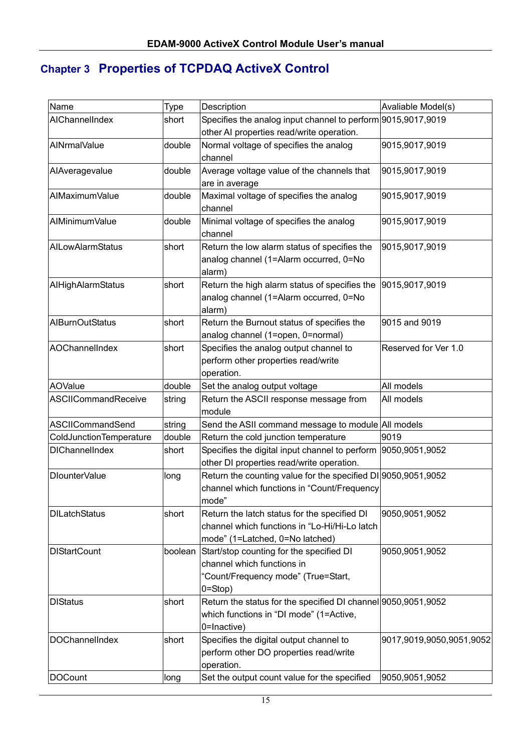# **Chapter 3 Properties of TCPDAQ ActiveX Control**

| Name                    | <b>Type</b> | Description                                                   | Avaliable Model(s)       |
|-------------------------|-------------|---------------------------------------------------------------|--------------------------|
| AIChannelIndex          | short       | Specifies the analog input channel to perform 9015,9017,9019  |                          |
|                         |             | other AI properties read/write operation.                     |                          |
| AINrmalValue            | double      | Normal voltage of specifies the analog                        | 9015,9017,9019           |
|                         |             | channel                                                       |                          |
| AlAveragevalue          | double      | Average voltage value of the channels that                    | 9015,9017,9019           |
|                         |             | are in average                                                |                          |
| AIMaximumValue          | double      | Maximal voltage of specifies the analog                       | 9015,9017,9019           |
|                         |             | channel                                                       |                          |
| AlMinimumValue          | double      | Minimal voltage of specifies the analog                       | 9015,9017,9019           |
|                         |             | channel                                                       |                          |
| AILowAlarmStatus        | short       | Return the low alarm status of specifies the                  | 9015,9017,9019           |
|                         |             | analog channel (1=Alarm occurred, 0=No                        |                          |
|                         |             | alarm)                                                        |                          |
| AlHighAlarmStatus       | short       | Return the high alarm status of specifies the                 | 9015,9017,9019           |
|                         |             | analog channel (1=Alarm occurred, 0=No                        |                          |
|                         |             | alarm)                                                        |                          |
| <b>AIBurnOutStatus</b>  | short       | Return the Burnout status of specifies the                    | 9015 and 9019            |
|                         |             | analog channel (1=open, 0=normal)                             |                          |
| AOChannelIndex          | short       | Specifies the analog output channel to                        | Reserved for Ver 1.0     |
|                         |             | perform other properties read/write                           |                          |
|                         |             | operation.                                                    |                          |
| <b>AOValue</b>          | double      | Set the analog output voltage                                 | All models               |
| ASCIICommandReceive     | string      | Return the ASCII response message from                        | All models               |
|                         |             | module                                                        |                          |
| ASCIICommandSend        | string      | Send the ASII command message to module All models            |                          |
| ColdJunctionTemperature | double      | Return the cold junction temperature                          | 9019                     |
| <b>DIChannelIndex</b>   | short       | Specifies the digital input channel to perform 9050,9051,9052 |                          |
|                         |             | other DI properties read/write operation.                     |                          |
| DlounterValue           | long        | Return the counting value for the specified DI 9050,9051,9052 |                          |
|                         |             | channel which functions in "Count/Frequency                   |                          |
|                         |             | mode'                                                         |                          |
| <b>DILatchStatus</b>    | short       | Return the latch status for the specified DI                  | 9050,9051,9052           |
|                         |             | channel which functions in "Lo-Hi/Hi-Lo latch                 |                          |
|                         |             | mode" (1=Latched, 0=No latched)                               |                          |
| <b>DIStartCount</b>     | boolean     | Start/stop counting for the specified DI                      | 9050,9051,9052           |
|                         |             | channel which functions in                                    |                          |
|                         |             | "Count/Frequency mode" (True=Start,                           |                          |
|                         |             | $0 = Stop$ )                                                  |                          |
| <b>DIStatus</b>         | short       | Return the status for the specified DI channel 9050,9051,9052 |                          |
|                         |             | which functions in "DI mode" (1=Active,                       |                          |
|                         |             | 0=Inactive)                                                   |                          |
| DOChannelIndex          | short       | Specifies the digital output channel to                       | 9017,9019,9050,9051,9052 |
|                         |             | perform other DO properties read/write                        |                          |
|                         |             | operation.                                                    |                          |
| DOCount                 | long        | Set the output count value for the specified                  | 9050,9051,9052           |
|                         |             |                                                               |                          |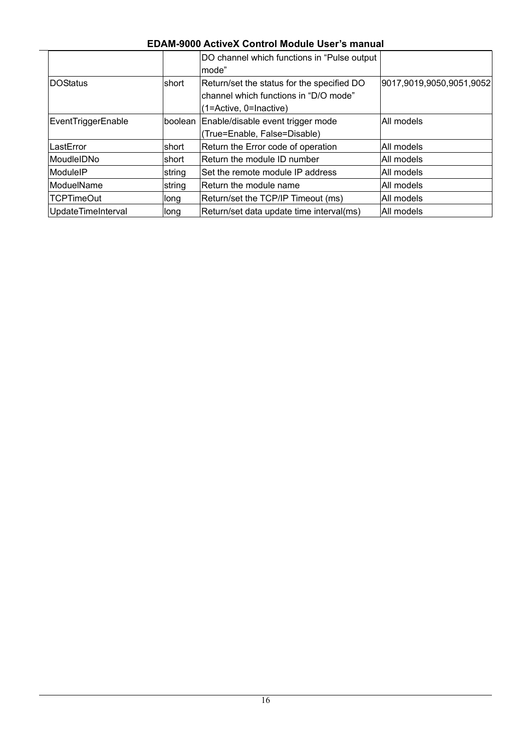|                    |        | DO channel which functions in "Pulse output" |                          |
|--------------------|--------|----------------------------------------------|--------------------------|
|                    |        | lmode"                                       |                          |
| <b>DOStatus</b>    | Ishort | Return/set the status for the specified DO   | 9017,9019,9050,9051,9052 |
|                    |        | channel which functions in "D/O mode"        |                          |
|                    |        | $(1 = Active, 0 = Inactive)$                 |                          |
| EventTriggerEnable |        | boolean Enable/disable event trigger mode    | All models               |
|                    |        | (True=Enable, False=Disable)                 |                          |
| LastError          | short  | Return the Error code of operation           | IAII models              |
| MoudleIDNo         | Ishort | Return the module ID number                  | All models               |
| ModuleIP           | string | Set the remote module IP address             | All models               |
| ModuelName         | string | Return the module name                       | All models               |
| <b>TCPTimeOut</b>  | long   | Return/set the TCP/IP Timeout (ms)           | All models               |
| UpdateTimeInterval | llong  | Return/set data update time interval(ms)     | All models               |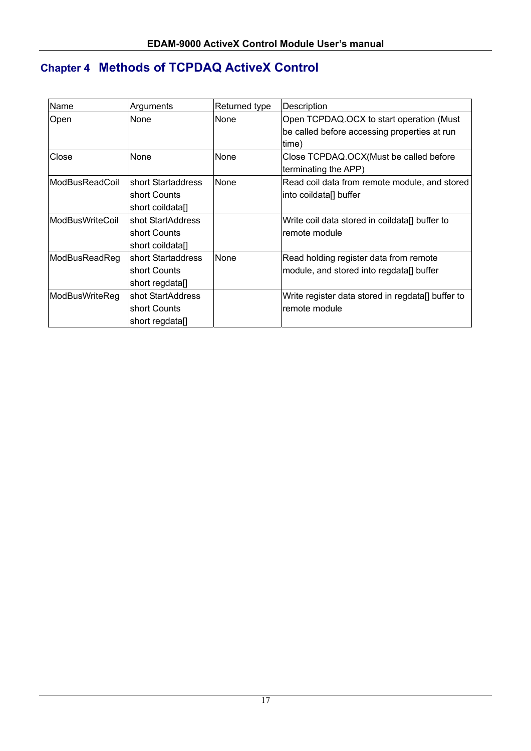# **Chapter 4 Methods of TCPDAQ ActiveX Control**

| Name            | Arguments          | Returned type | Description                                       |
|-----------------|--------------------|---------------|---------------------------------------------------|
| Open            | None               | None          | Open TCPDAQ.OCX to start operation (Must          |
|                 |                    |               | be called before accessing properties at run      |
|                 |                    |               | time)                                             |
| Close           | None               | None          | Close TCPDAQ.OCX(Must be called before            |
|                 |                    |               | terminating the APP)                              |
| ModBusReadCoil  | short Startaddress | None          | Read coil data from remote module, and stored     |
|                 | short Counts       |               | into coildata[] buffer                            |
|                 | short coildatal    |               |                                                   |
| ModBusWriteCoil | shot StartAddress  |               | Write coil data stored in coildata[] buffer to    |
|                 | short Counts       |               | remote module                                     |
|                 | short coildata[]   |               |                                                   |
| ModBusReadReg   | short Startaddress | None          | Read holding register data from remote            |
|                 | short Counts       |               | module, and stored into regdata[] buffer          |
|                 | short regdata[]    |               |                                                   |
| ModBusWriteReg  | shot StartAddress  |               | Write register data stored in regdata[] buffer to |
|                 | short Counts       |               | remote module                                     |
|                 | short regdata[]    |               |                                                   |